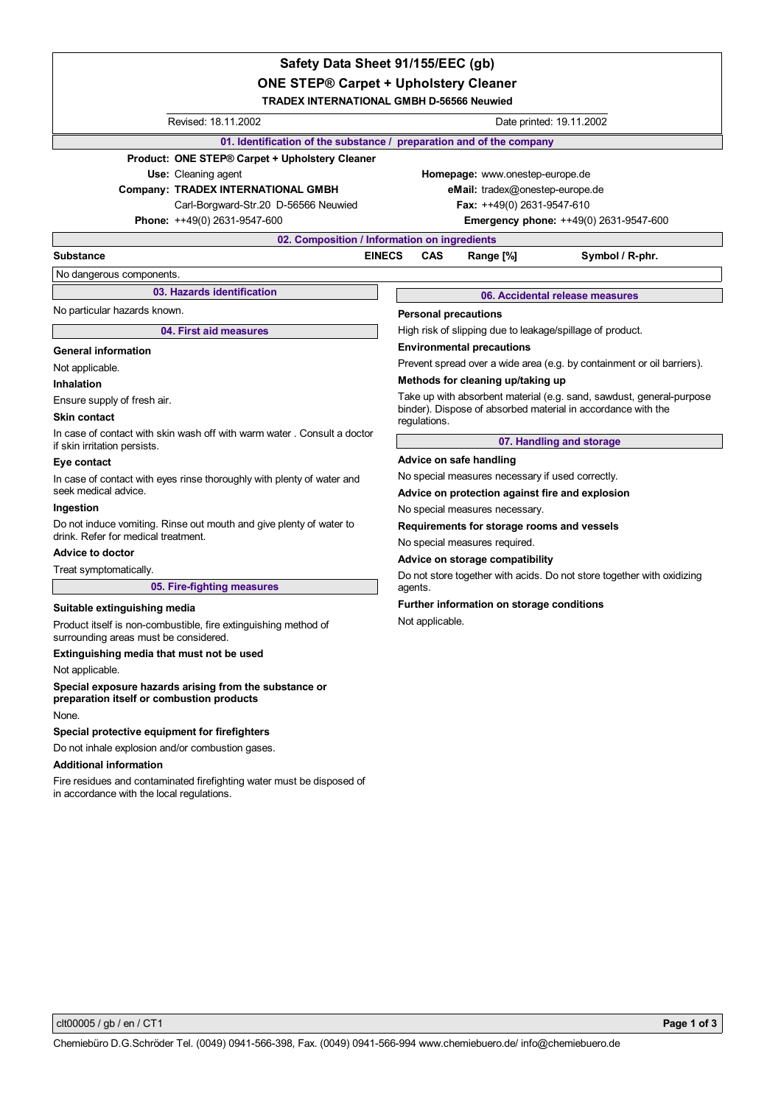# **ONE STEP® Carpet + Upholstery Cleaner Safety Data Sheet 91/155/EEC (gb)**

**TRADEX INTERNATIONAL GMBH D-56566 Neuwied**

|                                                                                                                    | I RADEX IN I ERNA I IONAL GMBH D-56566 Neuwied                               |  |
|--------------------------------------------------------------------------------------------------------------------|------------------------------------------------------------------------------|--|
| Revised: 18.11.2002                                                                                                | Date printed: 19.11.2002                                                     |  |
| 01. Identification of the substance / preparation and of the company                                               |                                                                              |  |
| Product: ONE STEP® Carpet + Upholstery Cleaner                                                                     |                                                                              |  |
| Use: Cleaning agent                                                                                                | Homepage: www.onestep-europe.de                                              |  |
| <b>Company: TRADEX INTERNATIONAL GMBH</b>                                                                          | eMail: tradex@onestep-europe.de                                              |  |
| Carl-Borgward-Str.20 D-56566 Neuwied                                                                               | Fax: ++49(0) 2631-9547-610                                                   |  |
| Phone: ++49(0) 2631-9547-600                                                                                       | Emergency phone: ++49(0) 2631-9547-600                                       |  |
| 02. Composition / Information on ingredients                                                                       |                                                                              |  |
| <b>EINECS</b><br>Substance                                                                                         | <b>CAS</b><br>Range [%]<br>Symbol / R-phr.                                   |  |
| No dangerous components.                                                                                           |                                                                              |  |
| 03. Hazards identification                                                                                         | 06. Accidental release measures                                              |  |
| No particular hazards known.                                                                                       | <b>Personal precautions</b>                                                  |  |
| 04. First aid measures                                                                                             | High risk of slipping due to leakage/spillage of product.                    |  |
| <b>General information</b>                                                                                         | <b>Environmental precautions</b>                                             |  |
| Not applicable.                                                                                                    | Prevent spread over a wide area (e.g. by containment or oil barriers).       |  |
| <b>Inhalation</b>                                                                                                  | Methods for cleaning up/taking up                                            |  |
| Ensure supply of fresh air.                                                                                        | Take up with absorbent material (e.g. sand, sawdust, general-purpose         |  |
| <b>Skin contact</b>                                                                                                | binder). Dispose of absorbed material in accordance with the<br>regulations. |  |
| In case of contact with skin wash off with warm water. Consult a doctor<br>if skin irritation persists.            | 07. Handling and storage                                                     |  |
| Eye contact                                                                                                        | Advice on safe handling                                                      |  |
| In case of contact with eyes rinse thoroughly with plenty of water and                                             | No special measures necessary if used correctly.                             |  |
| seek medical advice.                                                                                               | Advice on protection against fire and explosion                              |  |
| Ingestion                                                                                                          | No special measures necessary.                                               |  |
| Do not induce vomiting. Rinse out mouth and give plenty of water to<br>drink. Refer for medical treatment.         | Requirements for storage rooms and vessels<br>No special measures required.  |  |
| <b>Advice to doctor</b>                                                                                            | Advice on storage compatibility                                              |  |
| Treat symptomatically.                                                                                             | Do not store together with acids. Do not store together with oxidizing       |  |
| 05. Fire-fighting measures                                                                                         | agents.                                                                      |  |
| Suitable extinguishing media                                                                                       | Further information on storage conditions                                    |  |
| Product itself is non-combustible, fire extinguishing method of<br>surrounding areas must be considered.           | Not applicable.                                                              |  |
| Extinguishing media that must not be used                                                                          |                                                                              |  |
| Not applicable.                                                                                                    |                                                                              |  |
| Special exposure hazards arising from the substance or<br>preparation itself or combustion products                |                                                                              |  |
| None.                                                                                                              |                                                                              |  |
| Special protective equipment for firefighters                                                                      |                                                                              |  |
| Do not inhale explosion and/or combustion gases.                                                                   |                                                                              |  |
| <b>Additional information</b>                                                                                      |                                                                              |  |
| Fire residues and contaminated firefighting water must be disposed of<br>in accordance with the local regulations. |                                                                              |  |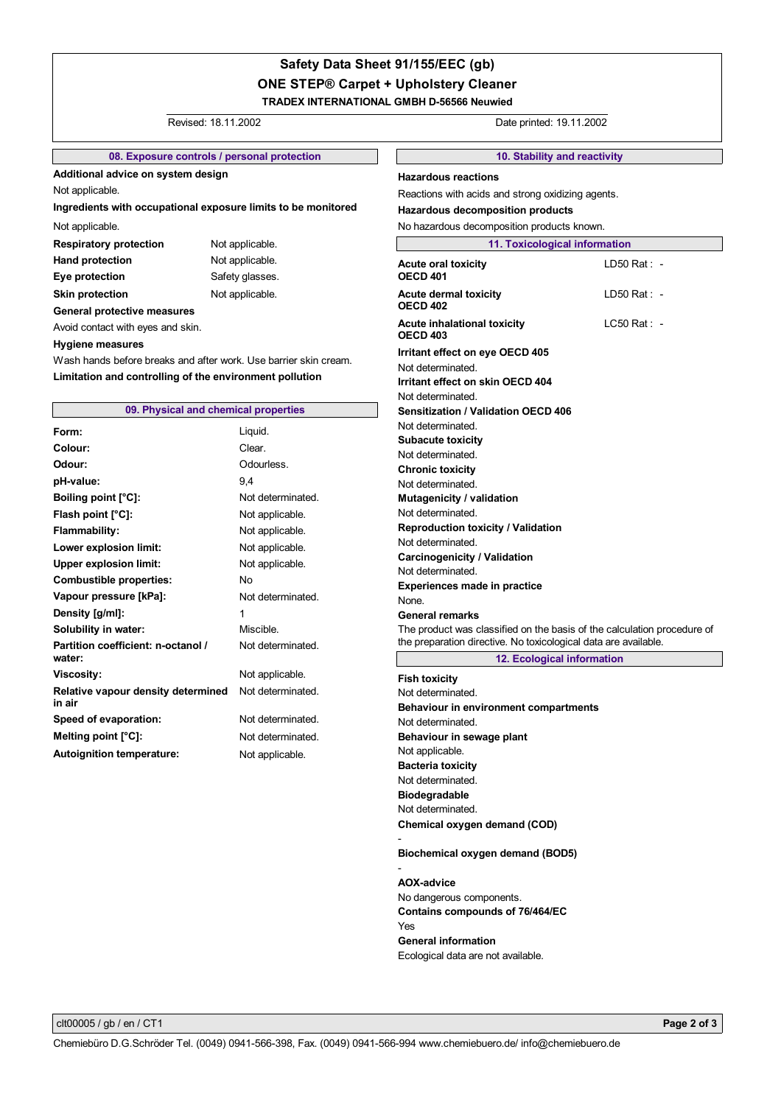# **ONE STEP® Carpet + Upholstery Cleaner TRADEX INTERNATIONAL GMBH D-56566 Neuwied Safety Data Sheet 91/155/EEC (gb)**

## Revised: 18.11.2002 Date printed: 19.11.2002

## **08. Exposure controls / personal protection**

**Additional advice on system design**

Not applicable.

**Ingredients with occupational exposure limits to be monitored**

### Not applicable.

**Respiratory protection** Not applicable. Hand protection Not applicable. **Eye protection** Safety glasses. **Skin protection** Not applicable.

## **General protective measures**

Avoid contact with eyes and skin.

### **Hygiene measures**

Wash hands before breaks and after work. Use barrier skin cream. **Limitation and controlling of the environment pollution**

## **09. Physical and chemical properties**

| Form:                                        | Liquid.           |
|----------------------------------------------|-------------------|
| Colour:                                      | Clear.            |
| Odour:                                       | Odourless.        |
| pH-value:                                    | 9.4               |
| Boiling point [°C]:                          | Not determinated. |
| Flash point [°C]:                            | Not applicable.   |
| <b>Flammability:</b>                         | Not applicable.   |
| Lower explosion limit:                       | Not applicable.   |
| <b>Upper explosion limit:</b>                | Not applicable.   |
| <b>Combustible properties:</b>               | Nο                |
| Vapour pressure [kPa]:                       | Not determinated. |
| Density [g/ml]:                              | 1                 |
| Solubility in water:                         | Miscible.         |
| Partition coefficient: n-octanol /<br>water: | Not determinated. |
| <b>Viscosity:</b>                            | Not applicable.   |
| Relative vapour density determined<br>in air | Not determinated. |
| Speed of evaporation:                        | Not determinated. |
| Melting point [°C]:                          | Not determinated  |
| <b>Autoignition temperature:</b>             | Not applicable.   |

**10. Stability and reactivity 11. Toxicological information Acute oral toxicity OECD 401 Acute dermal toxicity OECD 402 Acute inhalational toxicity OECD 403 Irritant effect on eye OECD 405** - LD50 Rat : - LD50 Rat : - LC50 Rat : Not determinated. **Sensitization / Validation OECD 406** Not determinated. **Subacute toxicity** Not determinated. **Mutagenicity / validation** Not determinated. None. **Experiences made in practice** The product was classified on the basis of the calculation procedure of the preparation directive. No toxicological data are available. **General remarks Carcinogenicity / Validation** Not determinated. **Reproduction toxicity / Validation** Not determinated. **Irritant effect on skin OECD 404** Not determinated. **Chronic toxicity** Not determinated. No hazardous decomposition products known. **Hazardous reactions Hazardous decomposition products** Reactions with acids and strong oxidizing agents.

**12. Ecological information**

Not determinated. **Biodegradable** Not determinated. **Fish toxicity** Not applicable. **Behaviour in sewage plant Behaviour in environment compartments** Not determinated. Not determinated. **Bacteria toxicity Chemical oxygen demand (COD)** -

**Biochemical oxygen demand (BOD5)**

-

**Contains compounds of 76/464/EC** Ecological data are not available. **General information** No dangerous components. **AOX-advice** Yes